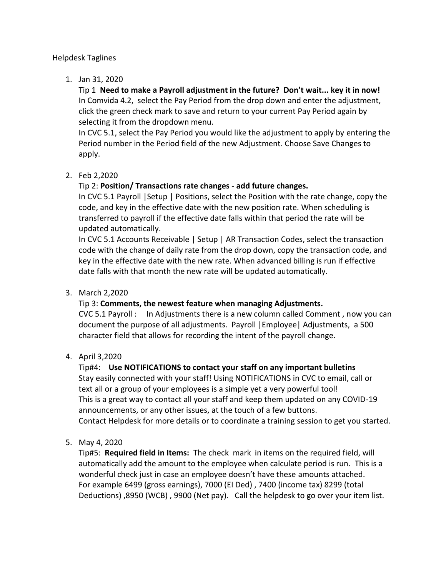## Helpdesk Taglines

1. Jan 31, 2020

Tip 1 **Need to make a Payroll adjustment in the future? Don't wait... key it in now!** In Comvida 4.2, select the Pay Period from the drop down and enter the adjustment, click the green check mark to save and return to your current Pay Period again by selecting it from the dropdown menu.

In CVC 5.1, select the Pay Period you would like the adjustment to apply by entering the Period number in the Period field of the new Adjustment. Choose Save Changes to apply.

2. Feb 2,2020

# Tip 2: **Position/ Transactions rate changes - add future changes.**

In CVC 5.1 Payroll |Setup | Positions, select the Position with the rate change, copy the code, and key in the effective date with the new position rate. When scheduling is transferred to payroll if the effective date falls within that period the rate will be updated automatically.

In CVC 5.1 Accounts Receivable | Setup | AR Transaction Codes, select the transaction code with the change of daily rate from the drop down, copy the transaction code, and key in the effective date with the new rate. When advanced billing is run if effective date falls with that month the new rate will be updated automatically.

## 3. March 2,2020

# Tip 3: **Comments, the newest feature when managing Adjustments.**

CVC 5.1 Payroll : In Adjustments there is a new column called Comment , now you can document the purpose of all adjustments. Payroll |Employee| Adjustments, a 500 character field that allows for recording the intent of the payroll change.

# 4. April 3,2020

# Tip#4: **Use NOTIFICATIONS to contact your staff on any important bulletins**

Stay easily connected with your staff! Using NOTIFICATIONS in CVC to email, call or text all or a group of your employees is a simple yet a very powerful tool! This is a great way to contact all your staff and keep them updated on any COVID-19 announcements, or any other issues, at the touch of a few buttons. Contact Helpdesk for more details or to coordinate a training session to get you started.

5. May 4, 2020

Tip#5: **Required field in Items:** The check mark in items on the required field, will automatically add the amount to the employee when calculate period is run. This is a wonderful check just in case an employee doesn't have these amounts attached. For example 6499 (gross earnings), 7000 (EI Ded) , 7400 (income tax) 8299 (total Deductions) ,8950 (WCB) , 9900 (Net pay). Call the helpdesk to go over your item list.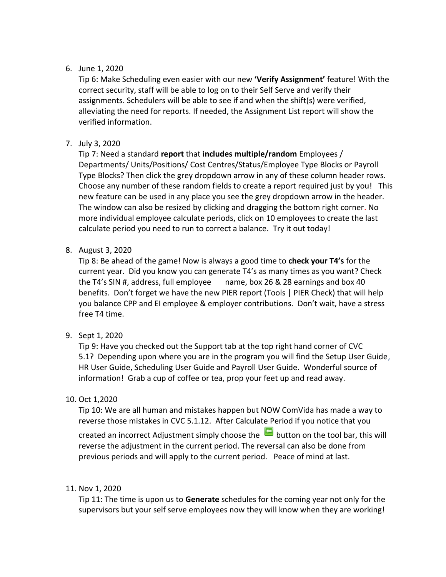## 6. June 1, 2020

Tip 6: Make Scheduling even easier with our new **'Verify Assignment'** feature! With the correct security, staff will be able to log on to their Self Serve and verify their assignments. Schedulers will be able to see if and when the shift(s) were verified, alleviating the need for reports. If needed, the Assignment List report will show the verified information.

# 7. July 3, 2020

Tip 7: Need a standard **report** that **includes multiple/random** Employees / Departments/ Units/Positions/ Cost Centres/Status/Employee Type Blocks or Payroll Type Blocks? Then click the grey dropdown arrow in any of these column header rows. Choose any number of these random fields to create a report required just by you! This new feature can be used in any place you see the grey dropdown arrow in the header. The window can also be resized by clicking and dragging the bottom right corner. No more individual employee calculate periods, click on 10 employees to create the last calculate period you need to run to correct a balance. Try it out today!

# 8. August 3, 2020

Tip 8: Be ahead of the game! Now is always a good time to **check your T4's** for the current year. Did you know you can generate T4's as many times as you want? Check the T4's SIN #, address, full employee name, box 26 & 28 earnings and box 40 benefits. Don't forget we have the new PIER report (Tools | PIER Check) that will help you balance CPP and EI employee & employer contributions. Don't wait, have a stress free T4 time.

# 9. Sept 1, 2020

Tip 9: Have you checked out the Support tab at the top right hand corner of CVC 5.1? Depending upon where you are in the program you will find the Setup User Guide, HR User Guide, Scheduling User Guide and Payroll User Guide. Wonderful source of information! Grab a cup of coffee or tea, prop your feet up and read away.

# 10. Oct 1,2020

Tip 10: We are all human and mistakes happen but NOW ComVida has made a way to reverse those mistakes in CVC 5.1.12. After Calculate Period if you notice that you

created an incorrect Adjustment simply choose the  $\Box$  button on the tool bar, this will reverse the adjustment in the current period. The reversal can also be done from previous periods and will apply to the current period. Peace of mind at last.

# 11. Nov 1, 2020

Tip 11: The time is upon us to **Generate** schedules for the coming year not only for the supervisors but your self serve employees now they will know when they are working!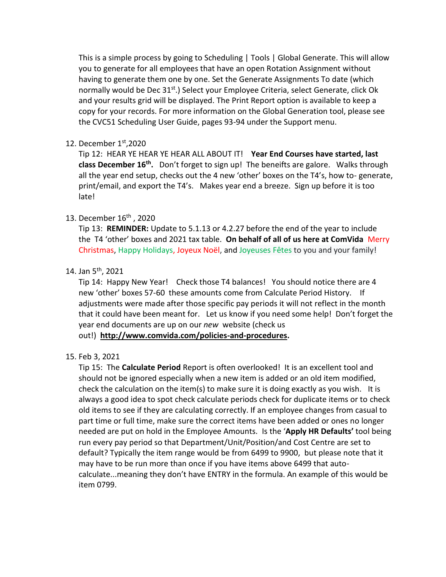This is a simple process by going to Scheduling | Tools | Global Generate. This will allow you to generate for all employees that have an open Rotation Assignment without having to generate them one by one. Set the Generate Assignments To date (which normally would be Dec  $31^{st}$ .) Select your Employee Criteria, select Generate, click Ok and your results grid will be displayed. The Print Report option is available to keep a copy for your records. For more information on the Global Generation tool, please see the CVC51 Scheduling User Guide, pages 93-94 under the Support menu.

## 12. December 1st, 2020

Tip 12: HEAR YE HEAR YE HEAR ALL ABOUT IT! **Year End Courses have started, last class December 16th .** Don't forget to sign up! The beneifts are galore. Walks through all the year end setup, checks out the 4 new 'other' boxes on the T4's, how to- generate, print/email, and export the T4's. Makes year end a breeze. Sign up before it is too late!

## 13. December 16th , 2020

Tip 13: **REMINDER:** Update to 5.1.13 or 4.2.27 before the end of the year to include the T4 'other' boxes and 2021 tax table. **On behalf of all of us here at ComVida** Merry Christmas, Happy Holidays, Joyeux Noël, and Joyeuses Fêtes to you and your family!

## 14. Jan  $5<sup>th</sup>$ , 2021

Tip 14: Happy New Year! Check those T4 balances! You should notice there are 4 new 'other' boxes 57-60 these amounts come from Calculate Period History. If adjustments were made after those specific pay periods it will not reflect in the month that it could have been meant for. Let us know if you need some help! Don't forget the year end documents are up on our *new* website (check us out!) **[http://www.comvida.com/policies-and-procedures.](http://www.comvida.com/policies-and-procedures)**

## 15. Feb 3, 2021

Tip 15: The **Calculate Period** Report is often overlooked! It is an excellent tool and should not be ignored especially when a new item is added or an old item modified, check the calculation on the item(s) to make sure it is doing exactly as you wish. It is always a good idea to spot check calculate periods check for duplicate items or to check old items to see if they are calculating correctly. If an employee changes from casual to part time or full time, make sure the correct items have been added or ones no longer needed are put on hold in the Employee Amounts. Is the '**Apply HR Defaults'** tool being run every pay period so that Department/Unit/Position/and Cost Centre are set to default? Typically the item range would be from 6499 to 9900, but please note that it may have to be run more than once if you have items above 6499 that autocalculate...meaning they don't have ENTRY in the formula. An example of this would be item 0799.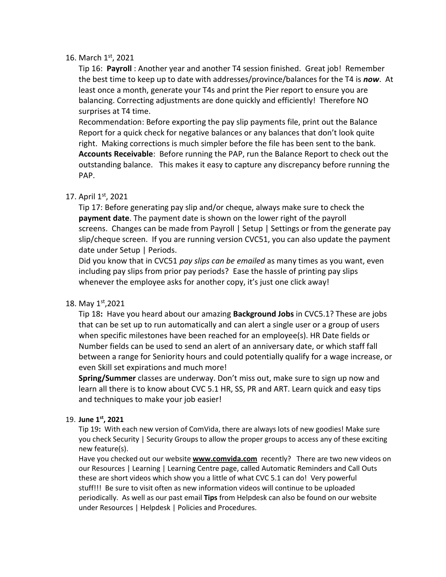#### 16. March 1st, 2021

Tip 16: **Payroll** : Another year and another T4 session finished. Great job! Remember the best time to keep up to date with addresses/province/balances for the T4 is *now*. At least once a month, generate your T4s and print the Pier report to ensure you are balancing. Correcting adjustments are done quickly and efficiently! Therefore NO surprises at T4 time.

Recommendation: Before exporting the pay slip payments file, print out the Balance Report for a quick check for negative balances or any balances that don't look quite right. Making corrections is much simpler before the file has been sent to the bank. **Accounts Receivable**: Before running the PAP, run the Balance Report to check out the outstanding balance. This makes it easy to capture any discrepancy before running the PAP.

## 17. April 1st, 2021

Tip 17: Before generating pay slip and/or cheque, always make sure to check the **payment date**. The payment date is shown on the lower right of the payroll screens. Changes can be made from Payroll | Setup | Settings or from the generate pay slip/cheque screen. If you are running version CVC51, you can also update the payment date under Setup | Periods.

Did you know that in CVC51 *pay slips can be emailed* as many times as you want, even including pay slips from prior pay periods? Ease the hassle of printing pay slips whenever the employee asks for another copy, it's just one click away!

## 18. May 1st,2021

Tip 18**:** Have you heard about our amazing **Background Jobs** in CVC5.1? These are jobs that can be set up to run automatically and can alert a single user or a group of users when specific milestones have been reached for an employee(s). HR Date fields or Number fields can be used to send an alert of an anniversary date, or which staff fall between a range for Seniority hours and could potentially qualify for a wage increase, or even Skill set expirations and much more!

**Spring/Summer** classes are underway. Don't miss out, make sure to sign up now and learn all there is to know about CVC 5.1 HR, SS, PR and ART. Learn quick and easy tips and techniques to make your job easier!

## 19. **June 1st, 2021**

Tip 19**:** With each new version of ComVida, there are always lots of new goodies! Make sure you check Security | Security Groups to allow the proper groups to access any of these exciting new feature(s).

Have you checked out our website **[www.comvida.com](http://www.comvida.com/)** recently? There are two new videos on our Resources | Learning | Learning Centre page, called Automatic Reminders and Call Outs these are short videos which show you a little of what CVC 5.1 can do! Very powerful stuff!!! Be sure to visit often as new information videos will continue to be uploaded periodically. As well as our past email **Tips** from Helpdesk can also be found on our website under Resources | Helpdesk | Policies and Procedures.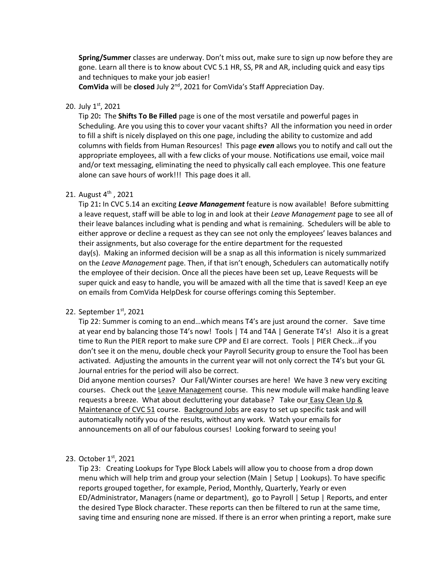**Spring/Summer** classes are underway. Don't miss out, make sure to sign up now before they are gone. Learn all there is to know about CVC 5.1 HR, SS, PR and AR, including quick and easy tips and techniques to make your job easier!

**ComVida** will be **closed** July 2nd, 2021 for ComVida's Staff Appreciation Day.

#### 20. July 1st, 2021

Tip 20**:** The **Shifts To Be Filled** page is one of the most versatile and powerful pages in Scheduling. Are you using this to cover your vacant shifts? All the information you need in order to fill a shift is nicely displayed on this one page, including the ability to customize and add columns with fields from Human Resources! This page *even* allows you to notify and call out the appropriate employees, all with a few clicks of your mouse. Notifications use email, voice mail and/or text messaging, eliminating the need to physically call each employee. This one feature alone can save hours of work!!! This page does it all.

#### 21. August 4<sup>th</sup>, 2021

Tip 21**:** In CVC 5.14 an exciting *Leave Management* feature is now available! Before submitting a leave request, staff will be able to log in and look at their *Leave Management* page to see all of their leave balances including what is pending and what is remaining. Schedulers will be able to either approve or decline a request as they can see not only the employees' leaves balances and their assignments, but also coverage for the entire department for the requested day(s). Making an informed decision will be a snap as all this information is nicely summarized on the *Leave Management* page. Then, if that isn't enough, Schedulers can automatically notify the employee of their decision. Once all the pieces have been set up, Leave Requests will be super quick and easy to handle, you will be amazed with all the time that is saved! Keep an eye on emails from ComVida HelpDesk for course offerings coming this September.

#### 22. September  $1<sup>st</sup>$ , 2021

Tip 22: Summer is coming to an end…which means T4's are just around the corner. Save time at year end by balancing those T4's now! Tools | T4 and T4A | Generate T4's! Also it is a great time to Run the PIER report to make sure CPP and EI are correct. Tools | PIER Check...if you don't see it on the menu, double check your Payroll Security group to ensure the Tool has been activated. Adjusting the amounts in the current year will not only correct the T4's but your GL Journal entries for the period will also be correct.

Did anyone mention courses? Our Fall/Winter courses are here! We have 3 new very exciting courses. Check out the Leave Management course. This new module will make handling leave requests a breeze. What about decluttering your database? Take our **Easy Clean Up &** Maintenance of CVC 51 course. Background Jobs are easy to set up specific task and will automatically notify you of the results, without any work. Watch your emails for announcements on all of our fabulous courses! Looking forward to seeing you!

#### 23. October 1st, 2021

Tip 23: Creating Lookups for Type Block Labels will allow you to choose from a drop down menu which will help trim and group your selection (Main | Setup | Lookups). To have specific reports grouped together, for example, Period, Monthly, Quarterly, Yearly or even ED/Administrator, Managers (name or department), go to Payroll | Setup | Reports, and enter the desired Type Block character. These reports can then be filtered to run at the same time, saving time and ensuring none are missed. If there is an error when printing a report, make sure